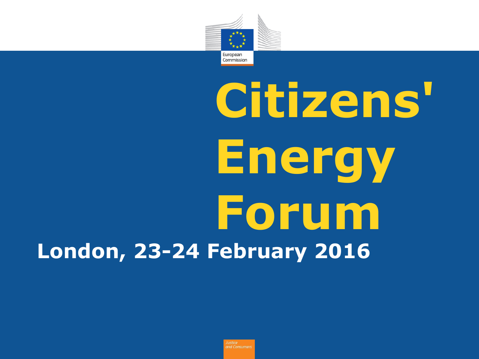

# **Citizens' Energy Forum London, 23-24 February 2016**

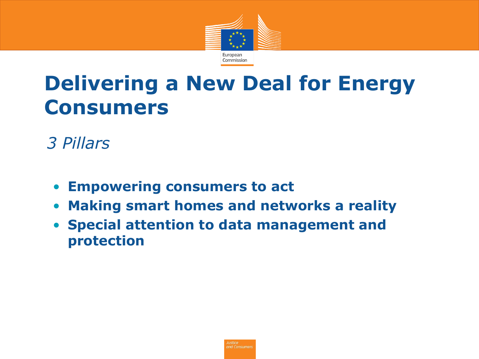

### **Delivering a New Deal for Energy Consumers**

• *3 Pillars*

- **Empowering consumers to act**
- **Making smart homes and networks a reality**
- **Special attention to data management and protection**

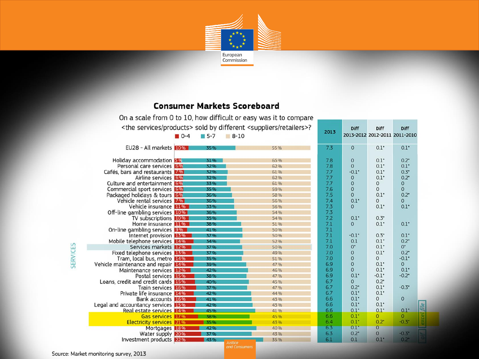

#### **Consumer Markets Scoreboard**

On a scale from 0 to 10, how difficult or easy was it to compare <the services/products> sold by different <suppliers/retailers>? **Diff** Diff **Diff** 2013 2013-2012 2012-2011 2011-2010  $\Box$  0-4  $5-7$  8-10 EU28 - All markets 10% 55 %  $7.3$  $\Omega$  $0.1"$  $0.1^*$ 35.06 Holiday accommodation 5% 31% 65 % 7.8  $\overline{O}$  $0.1*$  $0.2^*$ Personal care services 6% 7.8  $\circ$  $0.1*$ 32% 62%  $0.1^*$ Cafés, bars and restaurants 32% 7.7  $-0.1$ <sup>\*</sup> 61%  $0.1^*$  $0.3"$ Airline services 6% 32% 62%  $7.7$  $\Omega$  $0.1"$  $0.2"$ Culture and entertainment 6%  $7.7$ 33 % 61%  $\Omega$  $\Omega$  $\overline{0}$ Commercial sport services 6% 35 %  $7.6$  $\overline{O}$  $\Omega$  $\overline{0}$ 59% Packaged holidays & tours 6% 36%  $7.5$  $\Omega$  $0.1^*$  $0.2^*$ 58 % Vehicle rental services 7% 36% 56%  $7.4$  $0.1^*$  $\circ$  $\overline{0}$ Vehicle insurance 11% 33% 56 %  $7.3$  $\overline{O}$  $0.1^*$  $0.1^*$ Off-line gambling services 10%  $7.3$ 36% 54% 35 %  $7.2$ TV subscriptions 10%  $0.1^*$  $0.3"$ 54 % Home insurance 11% 38 % 51%  $7.1$  $\Omega$  $0.1^*$  $0.1^*$ On-line gambling services 9% 41 %  $7.1$ 50% Internet provision 13% 37%  $7.1$  $-0.1$ <sup>\*</sup>  $0.3*$  $0.1^*$ 50% Mobile telephone services 14% 34% 52%  $7.1$  $0.1$  $0.1*$  $0.2"$ Services markets 12% 37%  $7.0$  $0^*$  $0.1^*$  $0^*$ 50%  $7.0$  $\overline{O}$  $0.1^*$  $0.2^*$ Fixed telephone services 13% 37 % 49% Tram, local bus, metro 14% 35 % 51%  $7.0$  $\Omega$  $\circ$  $-0.1$ <sup>\*</sup> 6.9  $\Omega$  $0.1^*$ Vehicle maintenance and repair 14% 39% 47 %  $\circ$ 6.9  $\overline{O}$  $0.1^*$  $0.1^*$ Maintenance services 12% 42 % 46 % 6.9  $0.1$ <sup>\*</sup>  $-0.1$ <sup>\*</sup>  $-0.2$ <sup>\*</sup> Postal services 15% 38 % 47 % Loans, credit and credit cards 15% 6.7  $\overline{0}$  $0.2^*$ 40 % 45 %  $0.2^*$  $0.1^*$  $-0.3$ \* Train services 16% 37 % 47 % 6.7 42% 6.7  $0.1^*$  $0.1^*$ Private life insurance 14% 44 % Bank accounts 16% 41 % 6.6  $0<sup>1</sup>$  $\circ$  $\mathbf{O}$ 43 %  $0.1*$ 6.6  $0.1^*$ Legal and accountancy services 15% 42% 43 %  $0.1*$  $0.1^*$  $0.1^*$ 6.6 Real estate services 14% 45 % 41 % 38 % 45 % 6.6  $0.1^*$  $\overline{0}$  $\circ$ Gas services 17% 6.4  $0.1^{\circ}$  $0.2^{\circ}$  $-0.3$ <sup>\*</sup> **Electricity services** 21% 43% 35%  $6.3$  $0.1$ <sup>\*</sup> 42 %  $\bullet$ Mortgages 18% 40 % Water supply 20%  $-37%$ 43 % 6.3  $0.2^*$  $\circ$  $-0.3$ \*

35 %

file

 $0.2"$ 

 $0.1^*$ 

 $6.1$ 

 $0.1$ 

**SERVICES** 

and Consumers

43 %

Source: Market monitoring survey, 2013

Investment products 22%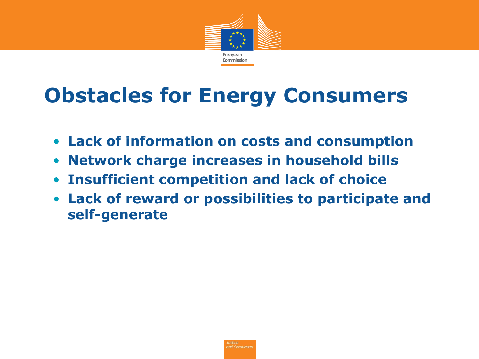

# **Obstacles for Energy Consumers**

- **Lack of information on costs and consumption**
- **Network charge increases in household bills**
- **Insufficient competition and lack of choice**
- **Lack of reward or possibilities to participate and self-generate**

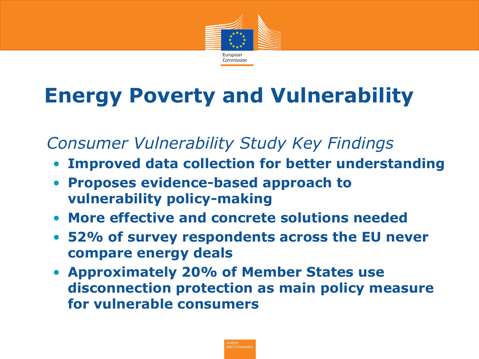

# **Energy Poverty and Vulnerability**

• *Consumer Vulnerability Study Key Findings*

- **Improved data collection for better understanding**
- **Proposes evidence-based approach to vulnerability policy-making**
- **More effective and concrete solutions needed**
- **52% of survey respondents across the EU never compare energy deals**
- **Approximately 20% of Member States use disconnection protection as main policy measure for vulnerable consumers**

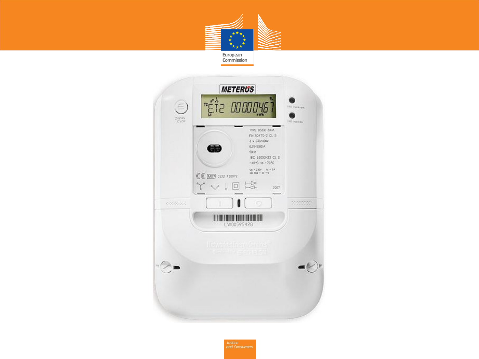

Commission



Justice<br>and Consumers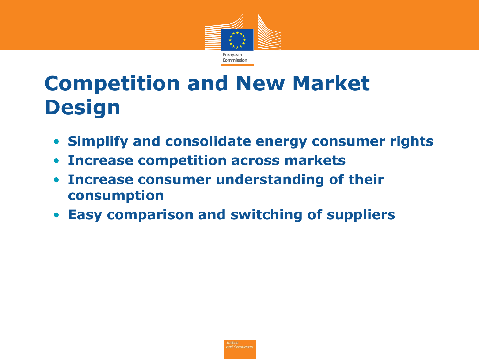

# **Competition and New Market Design**

- **Simplify and consolidate energy consumer rights**
- **Increase competition across markets**
- **Increase consumer understanding of their consumption**
- **Easy comparison and switching of suppliers**

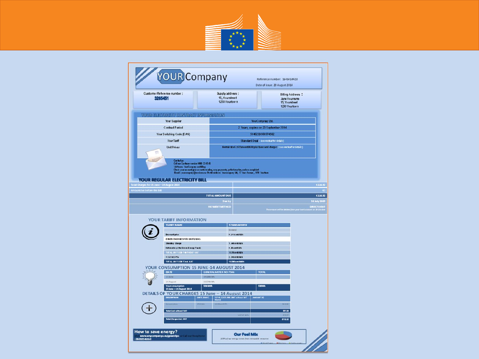

| <b>YOUR Company</b><br>Reference number: 5546459428<br>Date of issue: 20 August 2014                                                                                                                                                                                                 |                                                                          |                                                                       |
|--------------------------------------------------------------------------------------------------------------------------------------------------------------------------------------------------------------------------------------------------------------------------------------|--------------------------------------------------------------------------|-----------------------------------------------------------------------|
| Customer Reference number :<br>3265451                                                                                                                                                                                                                                               | Supply address :<br>15, Yourstreet<br>1250 Yourtown                      | Billing Address :<br>Jane Yourname<br>15, Yourstreet<br>1250 Yourtown |
| YOUR ELECTRICITY CONTRACT INFORMATION                                                                                                                                                                                                                                                |                                                                          |                                                                       |
| Your Supplier                                                                                                                                                                                                                                                                        | YourCompray Ltd.                                                         |                                                                       |
| Contract Period                                                                                                                                                                                                                                                                      |                                                                          | 2 Years, expires on 20 September 2014                                 |
| Your Switching Code (E AN)                                                                                                                                                                                                                                                           |                                                                          | 5146239568574562                                                      |
| Your Tariff                                                                                                                                                                                                                                                                          |                                                                          |                                                                       |
|                                                                                                                                                                                                                                                                                      | Standard Deal (seconder for details)                                     |                                                                       |
| Normal rate 6.26 Eurocent/kWh plus taxes and charges (see overleaffor details)<br><b>Unit Prices</b><br>厄                                                                                                                                                                            |                                                                          |                                                                       |
| Contectus<br>Call our Customersenice 0800 22 65 65<br>Withman YourCompany.cubiling<br>Ched, you account give us melerneading, may payments, get in firmaton, make a complaint<br>Email : yourcompany @services.eu. Postal address: Yourcompany. Ud., 17 Your Avenue , 1950. Yourburn |                                                                          |                                                                       |
| <b>YOUR REGULAR ELECTRICITY BILL</b>                                                                                                                                                                                                                                                 |                                                                          |                                                                       |
| tal Charges for 15 June - 14 August 2014                                                                                                                                                                                                                                             |                                                                          | 6110.32                                                               |
| mount due before this bi                                                                                                                                                                                                                                                             |                                                                          | <b>ED</b>                                                             |
| TOTAL AMOUNT DUE<br>6110.32                                                                                                                                                                                                                                                          |                                                                          |                                                                       |
| 30 July 2009<br>Due by<br><b>PAYMENT METHOD</b>                                                                                                                                                                                                                                      |                                                                          |                                                                       |
|                                                                                                                                                                                                                                                                                      |                                                                          | DRECTOERIT<br>unt will be dibited from your bank account on 30        |
|                                                                                                                                                                                                                                                                                      |                                                                          |                                                                       |
| YOUR TARIFF INFORMATION<br>TARIFF NAME                                                                                                                                                                                                                                               | <b>STANDARDFIX</b>                                                       |                                                                       |
|                                                                                                                                                                                                                                                                                      | General                                                                  |                                                                       |
| <b>Baseunitorice</b>                                                                                                                                                                                                                                                                 | # 26 Ecentium                                                            |                                                                       |
| O THER CHARGE SPER UNIT (EWH)                                                                                                                                                                                                                                                        |                                                                          |                                                                       |
| Strading Charge<br>National levy(the Green Energy Fund)                                                                                                                                                                                                                              | 1.1K centsun<br>· Acentiuh                                               |                                                                       |
| TOTAL UNIT COST MITHOUT VAT                                                                                                                                                                                                                                                          | 12.50 cents time                                                         |                                                                       |
| + VA Tatzens                                                                                                                                                                                                                                                                         | : Jit cent tith                                                          |                                                                       |
| TOTAL UNIT COST Ind. VAT<br>18.201emblillin                                                                                                                                                                                                                                          |                                                                          |                                                                       |
| YOUR CONSUMPTION 15 JUNE-14 AUGUST 2014                                                                                                                                                                                                                                              |                                                                          |                                                                       |
| DATE                                                                                                                                                                                                                                                                                 | <b>GENERAL METER NO 7546</b>                                             | <b>TOTAL</b>                                                          |
| 15 Airw                                                                                                                                                                                                                                                                              | 343006386<br><b>LESTON WWW</b>                                           |                                                                       |
| 14 August                                                                                                                                                                                                                                                                            | 530 MWh                                                                  | 530Wh                                                                 |
| Yourconsumption<br>15 June - 14 August 2014                                                                                                                                                                                                                                          |                                                                          |                                                                       |
| <b>DETAILS OF YOUR CHARGES 15 June -</b>                                                                                                                                                                                                                                             | <b>14 August 2014</b><br>(HAND ZTBAL<br>TOTAL COSTS REE LEGT WIRKING WIT | AMOUNT (C)                                                            |
|                                                                                                                                                                                                                                                                                      | <b>ETCHWN</b><br><b>IT SECONDARY</b>                                     | 45-4 260                                                              |
|                                                                                                                                                                                                                                                                                      |                                                                          |                                                                       |
| a vat<br>VATATION<br>618.57                                                                                                                                                                                                                                                          |                                                                          | 691.64                                                                |
| Changes Inct. VAT<br>E110.32                                                                                                                                                                                                                                                         |                                                                          |                                                                       |
|                                                                                                                                                                                                                                                                                      |                                                                          |                                                                       |
| <b>How to save energy?</b><br><b>Our Fuel Mix</b><br>www.anycompanyu.eu/greentips<br>08002245550<br><b>SOO Cof our a</b><br><b>Mod Evan</b>                                                                                                                                          |                                                                          |                                                                       |
|                                                                                                                                                                                                                                                                                      |                                                                          |                                                                       |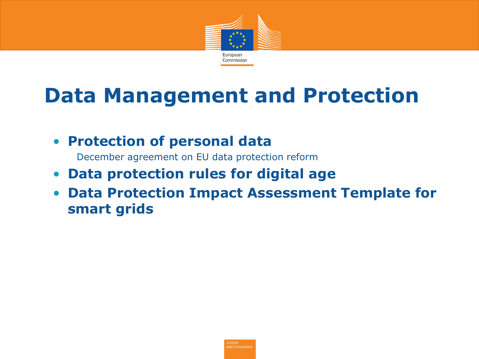

## **Data Management and Protection**

• **Protection of personal data**

December agreement on EU data protection reform

- **Data protection rules for digital age**
- **Data Protection Impact Assessment Template for smart grids**

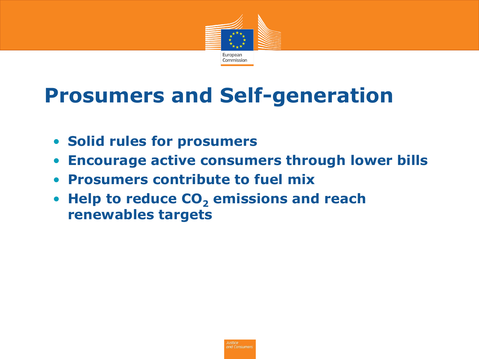

### **Prosumers and Self-generation**

- **Solid rules for prosumers**
- **Encourage active consumers through lower bills**
- **Prosumers contribute to fuel mix**
- **Help to reduce CO<sup>2</sup> emissions and reach renewables targets**